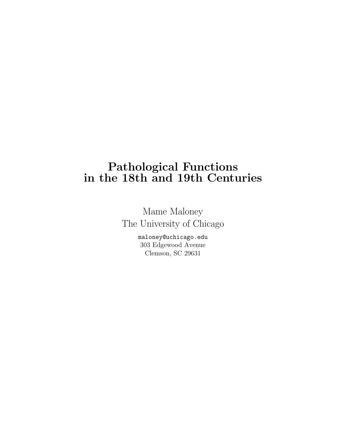## Pathological Functions in the 18th and 19th Centuries

Mame Maloney The University of Chicago

> maloney@uchicago.edu 303 Edgewood Avenue Clemson, SC 29631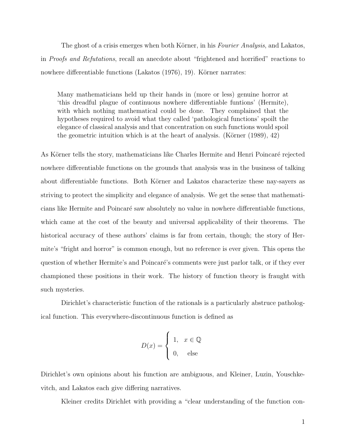The ghost of a crisis emerges when both Körner, in his *Fourier Analysis*, and Lakatos, in Proofs and Refutations, recall an anecdote about "frightened and horrified" reactions to nowhere differentiable functions (Lakatos  $(1976)$ , 19). Körner narrates:

Many mathematicians held up their hands in (more or less) genuine horror at 'this dreadful plague of continuous nowhere differentiable funtions' (Hermite), with which nothing mathematical could be done. They complained that the hypotheses required to avoid what they called 'pathological functions' spoilt the elegance of classical analysis and that concentration on such functions would spoil the geometric intuition which is at the heart of analysis. (Körner  $(1989)$ , 42)

As Körner tells the story, mathematicians like Charles Hermite and Henri Poincaré rejected nowhere differentiable functions on the grounds that analysis was in the business of talking about differentiable functions. Both Körner and Lakatos characterize these nay-sayers as striving to protect the simplicity and elegance of analysis. We get the sense that mathematicians like Hermite and Poincaré saw absolutely no value in nowhere differentiable functions, which came at the cost of the beauty and universal applicability of their theorems. The historical accuracy of these authors' claims is far from certain, though; the story of Hermite's "fright and horror" is common enough, but no reference is ever given. This opens the question of whether Hermite's and Poincaré's comments were just parlor talk, or if they ever championed these positions in their work. The history of function theory is fraught with such mysteries.

Dirichlet's characteristic function of the rationals is a particularly abstruce pathological function. This everywhere-discontinuous function is defined as

$$
D(x) = \begin{cases} 1, & x \in \mathbb{Q} \\ 0, & \text{else} \end{cases}
$$

Dirichlet's own opinions about his function are ambiguous, and Kleiner, Luzin, Youschkevitch, and Lakatos each give differing narratives.

Kleiner credits Dirichlet with providing a "clear understanding of the function con-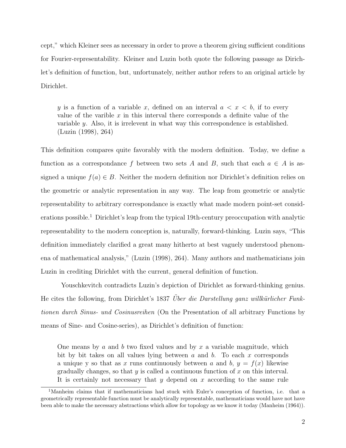cept," which Kleiner sees as necessary in order to prove a theorem giving sufficient conditions for Fourier-representability. Kleiner and Luzin both quote the following passage as Dirichlet's definition of function, but, unfortunately, neither author refers to an original article by Dirichlet.

y is a function of a variable x, defined on an interval  $a < x < b$ , if to every value of the varible  $x$  in this interval there corresponds a definite value of the variable y. Also, it is irrelevent in what way this correspondence is established. (Luzin (1998), 264)

This definition compares quite favorably with the modern definition. Today, we define a function as a correspondance f between two sets A and B, such that each  $a \in A$  is assigned a unique  $f(a) \in B$ . Neither the modern definition nor Dirichlet's definition relies on the geometric or analytic representation in any way. The leap from geometric or analytic representability to arbitrary correspondance is exactly what made modern point-set considerations possible.<sup>1</sup> Dirichlet's leap from the typical 19th-century preoccupation with analytic representability to the modern conception is, naturally, forward-thinking. Luzin says, "This definition immediately clarified a great many hitherto at best vaguely understood phenomena of mathematical analysis," (Luzin (1998), 264). Many authors and mathematicians join Luzin in crediting Dirichlet with the current, general definition of function.

Youschkevitch contradicts Luzin's depiction of Dirichlet as forward-thinking genius. He cites the following, from Dirichlet's 1837 Über die Darstellung ganz willkürlicher Funktionen durch Sinus- und Cosinusreihen (On the Presentation of all arbitrary Functions by means of Sine- and Cosine-series), as Dirichlet's definition of function:

One means by a and b two fixed values and by x a variable magnitude, which bit by bit takes on all values lying between  $a$  and  $b$ . To each  $x$  corresponds a unique y so that as x runs continuously between a and b,  $y = f(x)$  likewise gradually changes, so that  $y$  is called a continuous function of  $x$  on this interval. It is certainly not necessary that  $y$  depend on  $x$  according to the same rule

<sup>&</sup>lt;sup>1</sup>Manheim claims that if mathematicians had stuck with Euler's conception of function, i.e. that a geometrically representable function must be analytically representable, mathematicians would have not have been able to make the necessary abstractions which allow for topology as we know it today (Manheim (1964)).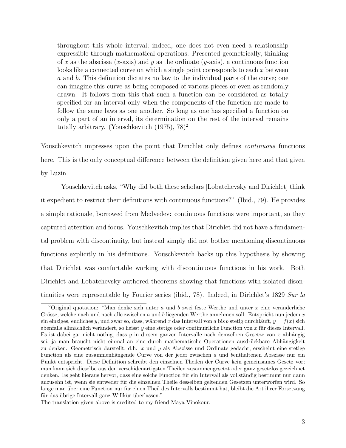throughout this whole interval; indeed, one does not even need a relationship expressible through mathematical operations. Presented geometrically, thinking of x as the abscissa (x-axis) and y as the ordinate (y-axis), a continuous function looks like a connected curve on which a single point corresponds to each  $x$  between a and b. This definition dictates no law to the individual parts of the curve; one can imagine this curve as being composed of various pieces or even as randomly drawn. It follows from this that such a function can be considered as totally specified for an interval only when the components of the function are made to follow the same laws as one another. So long as one has specified a function on only a part of an interval, its determination on the rest of the interval remains totally arbitrary. (Youschkevitch  $(1975)$ ,  $78)^2$ 

Youschkevitch impresses upon the point that Dirichlet only defines *continuous* functions here. This is the only conceptual difference between the definition given here and that given by Luzin.

Youschkevitch asks, "Why did both these scholars [Lobatchevsky and Dirichlet] think it expedient to restrict their definitions with continuous functions?" (Ibid., 79). He provides a simple rationale, borrowed from Medvedev: continuous functions were important, so they captured attention and focus. Youschkevitch implies that Dirichlet did not have a fundamental problem with discontinuity, but instead simply did not bother mentioning discontinuous functions explicitly in his definitions. Youschkevitch backs up this hypothesis by showing that Dirichlet was comfortable working with discontinuous functions in his work. Both Dirichlet and Lobatchevsky authored theorems showing that functions with isolated disontinuities were representable by Fourier series (ibid., 78). Indeed, in Dirichlet's 1829 Sur la

<sup>&</sup>lt;sup>2</sup>Original quotation: "Man denke sich unter a und b zwei feste Werthe und unter x eine veränderliche Grösse, welche nach und nach alle zwischen  $a$  und  $b$  liegenden Werthe annehmen soll. Entspricht nun jedem  $x$ ein einziges, endliches y, und zwar so, dass, während x das Intervall von a bis b stetig durchläuft,  $y = f(x)$  sich ebenfalls allmächlich verändert, so heisst y eine stetige oder continuirliche Function von  $x$  für dieses Intervall. Es ist dabei gar nicht nöthig, dass y in diesem ganzen Intervalle nach demselben Gesetze von x abhángig sei, ja man braucht nicht einmal an eine durch mathematische Operationen ausdrückbare Abhängigkeit zu denken. Geometrisch darstellt, d.h. x und y als Abszisse und Ordinate gedacht, erscheint eine stetige Function als eine zusammenhängende Curve von der jeder zwischen a und benthaltenen Abszisse nur ein Punkt entspricht. Diese Definition schreibt den einzelnen Theilen der Curve kein gemeinsames Gesetz vor; man kann sich dieselbe aus den verschidenartigsten Theilen zusammengesetzt oder ganz gesetzlos gezeichnet denken. Es geht hieraus hervor, dass eine solche Function für ein Intervall als vollständig bestimmt nur dann anzusehn ist, wenn sie entweder für die einzelnen Theile desselben geltenden Gesetzen unterworfen wird. So lange man über eine Function nur für einen Theil des Intervalls bestimmt hat, bleibt die Art ihrer Forsetzung für das übrige Intervall ganz Willkür überlassen."

The translation given above is credited to my friend Maya Vinokour.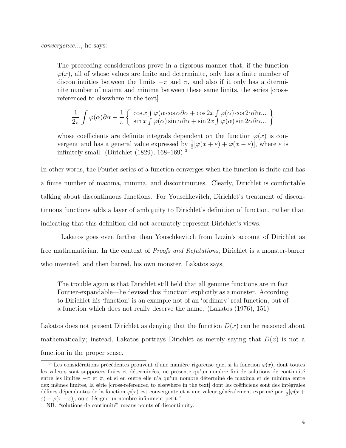The preceeding considerations prove in a rigorous manner that, if the function  $\varphi(x)$ , all of whose values are finite and determinite, only has a finite number of discontinuities between the limits  $-\pi$  and  $\pi$ , and also if it only has a dterminite number of maima and minima between these same limits, the series [crossreferenced to elsewhere in the text]

$$
\frac{1}{2\pi} \int \varphi(\alpha) \partial \alpha + \frac{1}{\pi} \left\{ \begin{array}{l} \cos x \int \varphi(\alpha) \cos \alpha \partial \alpha + \cos 2x \int \varphi(\alpha) \cos 2\alpha \partial \alpha ... \\ \sin x \int \varphi(\alpha) \sin \alpha \partial \alpha + \sin 2x \int \varphi(\alpha) \sin 2\alpha \partial \alpha ... \end{array} \right\}
$$

whose coefficients are definite integrals dependent on the function  $\varphi(x)$  is convergent and has a general value expressed by  $\frac{1}{2}[\varphi(x+\varepsilon)+\varphi(x-\varepsilon)]$ , where  $\varepsilon$  is infinitely small. (Dirichlet  $(1829)$ ,  $168-169$ )<sup>3</sup>

In other words, the Fourier series of a function converges when the function is finite and has a finite number of maxima, minima, and discontinuities. Clearly, Dirichlet is comfortable talking about discontinuous functions. For Youschkevitch, Dirichlet's treatment of discontinuous functions adds a layer of ambiguity to Dirichlet's definition of function, rather than indicating that this definition did not accurately represent Dirichlet's views.

Lakatos goes even farther than Youschkevitch from Luzin's account of Dirichlet as free mathematician. In the context of Proofs and Refutations, Dirichlet is a monster-barrer who invented, and then barred, his own monster. Lakatos says,

The trouble again is that Dirichlet still held that all genuine functions are in fact Fourier-expandable—he devised this 'function' explicitly as a monster. According to Dirichlet his 'function' is an example not of an 'ordinary' real function, but of a function which does not really deserve the name. (Lakatos (1976), 151)

Lakatos does not present Dirichlet as denying that the function  $D(x)$  can be reasoned about mathematically; instead, Lakatos portrays Dirichlet as merely saying that  $D(x)$  is not a function in the proper sense.

<sup>&</sup>lt;sup>3</sup>"Les considérations précédentes prouvent d'une manière rigoreuse que, si la fonction  $\varphi(x)$ , dont toutes les valeurs sont supposées finies et déterminées, ne présente qu'un nombre fini de solutions de continuité entre les limites  $-\pi$  et  $\pi$ , et si en outre elle n'a qu'un nombre déterminé de maxima et de minima entre dex mêmes limites, la série [cross-referenced to elsewhere in the text] dont les coëfficiens sont des intégrales défines dépendantes de la fonction  $\varphi(x)$  est convergente et a une valeur généralement exprimé par  $\frac{1}{2}[\varphi(x +$  $\varepsilon$ ) +  $\varphi(x - \varepsilon)$ , où  $\varepsilon$  désigne un nombre infiniment petit."

NB: "solutions de continuité" means points of discontinuity.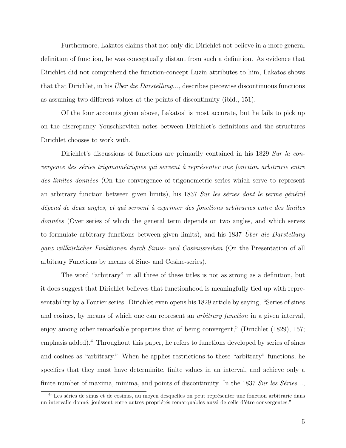Furthermore, Lakatos claims that not only did Dirichlet not believe in a more general definition of function, he was conceptually distant from such a definition. As evidence that Dirichlet did not comprehend the function-concept Luzin attributes to him, Lakatos shows that that Dirichlet, in his *Über die Darstellung...*, describes piecewise discontinuous functions as assuming two different values at the points of discontinuity (ibid., 151).

Of the four accounts given above, Lakatos' is most accurate, but he fails to pick up on the discrepancy Youschkevitch notes between Dirichlet's definitions and the structures Dirichlet chooses to work with.

Dirichlet's discussions of functions are primarily contained in his 1829 Sur la convergence des séries trigonométriques qui servent à représenter une fonction arbitrarie entre des limites données (On the convergence of trigonometric series which serve to represent an arbitrary function between given limits), his  $1837$  Sur les séries dont le terme général  $d\acute{e}pend$  de deux angles, et qui servent à exprimer des fonctions arbitraries entre des limites  $données$  (Over series of which the general term depends on two angles, and which serves to formulate arbitrary functions between given limits), and his 1837 Uber die Darstellung ganz willkürlicher Funktionen durch Sinus- und Cosinusreihen (On the Presentation of all arbitrary Functions by means of Sine- and Cosine-series).

The word "arbitrary" in all three of these titles is not as strong as a definition, but it does suggest that Dirichlet believes that functionhood is meaningfully tied up with representability by a Fourier series. Dirichlet even opens his 1829 article by saying, "Series of sines and cosines, by means of which one can represent an arbitrary function in a given interval, enjoy among other remarkable properties that of being convergent," (Dirichlet (1829), 157; emphasis added).<sup>4</sup> Throughout this paper, he refers to functions developed by series of sines and cosines as "arbitrary." When he applies restrictions to these "arbitrary" functions, he specifies that they must have determinite, finite values in an interval, and achieve only a finite number of maxima, minima, and points of discontinuity. In the  $1837$  Sur les Séries...,

<sup>&</sup>lt;sup>4"</sup>Les séries de sinus et de cosinus, au moyen desquelles on peut représenter une fonction arbitrarie dans un intervalle donné, jouissent entre autres propriétés remarquables aussi de celle d'être convergentes."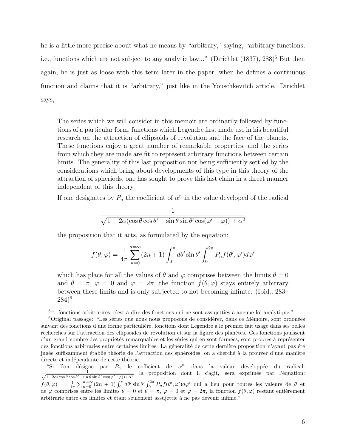he is a little more precise about what he means by "arbitrary," saying, "arbitrary functions, i.e., functions which are not subject to any analytic law..." (Dirichlet  $(1837)$ ,  $288$ <sup>5</sup> But then again, he is just as loose with this term later in the paper, when he defines a continuous function and claims that it is "arbitrary," just like in the Youschkevitch article. Dirichlet says,

The series which we will consider in this memoir are ordinarily followed by functions of a particular form, functions which Legendre first made use in his beautiful research on the attraction of ellipsoids of revolution and the face of the planets. These functions enjoy a great number of remarkable properties, and the series from which they are made are fit to represent arbitrary functions between certain limits. The generality of this last proposition not being sufficiently settled by the considerations which bring about developments of this type in this theory of the attraction of spheriods, one has sought to prove this last claim in a direct manner independent of this theory.

If one designates by  $P_n$  the coefficient of  $\alpha^n$  in the value developed of the radical

$$
\frac{1}{\sqrt{1 - 2\alpha(\cos\theta\cos\theta' + \sin\theta\sin\theta'\cos(\varphi' - \varphi)) + \alpha^2}}
$$

the proposition that it acts, as formulated by the equation:

$$
f(\theta,\varphi) = \frac{1}{4\pi} \sum_{n=0}^{n=\infty} (2n+1) \int_0^{\pi} d\theta' \sin \theta' \int_0^{2\pi} P_n f(\theta',\varphi') d\varphi'
$$

which has place for all the values of  $\theta$  and  $\varphi$  comprises between the limits  $\theta = 0$ and  $\theta = \pi$ ,  $\varphi = 0$  and  $\varphi = 2\pi$ , the function  $f(\theta, \varphi)$  stays entirely arbitrary between these limits and is only subjected to not becoming infinite. (Ibid., 283–  $(284)^6$ 

 $5$ "...fonctions arbitrarires, c'est-à-dire des fonctions qui ne sont assujetties à aucune loi analytique."

 $6$ Original passage: "Les séries que nous nous proposons de considérer, dans ce Mémoire, sont ordonées suivant des fonctions d'une forme particulière, fonctions dont Legendre a le premier fait usage dans ses belles recherches sur l'attraction des ellipsoïdes de révolution et sur la figure des planètes. Ces fonctions jouissent d'un grand nombre des propriétés remarquables et les séries qui en sont formées, sont propres à représenter des fonctions arbitraries entre certaines limites. La généralité de cette dernière proposition n'ayant pas été jugée suffisamment établie théorie de l'attraction des sphéroïdes, on a cherché à la prouver d'une manière directe et indépendante de cette théorie.

<sup>&</sup>quot;Si l'on désigne par  $P_n$  le cofficient de  $\alpha^n$  dans la valeur développée du radical:  $\frac{1}{\sqrt{1-2\alpha(\cos\theta\cos\theta'+\sin\theta\sin\theta'\cos(\varphi'-\varphi))+\alpha^2}}$  la proposition dont il s'agit, sera exprimée par l'équation:  $f(\theta, \varphi) = \frac{1}{4\pi} \sum_{n=0}^{n=\infty} (2n+1) \int_0^{\pi} d\theta' \sin \theta' \int_0^{2\pi} P_n f(\theta', \varphi') d\varphi'$  qui a lieu pour toutes les valeurs de  $\theta$  et de  $\varphi$  comprises entre les limites  $\theta = 0$  et  $\theta = \pi$ ,  $\varphi = 0$  et  $\varphi = 2\pi$ , la fonction  $f(\theta, \varphi)$  restant entièrement arbitrarie entre ces limites et étant seulement assujettie à ne pas devenir infinie."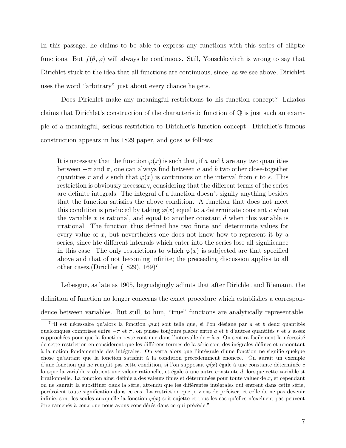In this passage, he claims to be able to express any functions with this series of elliptic functions. But  $f(\theta, \varphi)$  will always be continuous. Still, Youschkevitch is wrong to say that Dirichlet stuck to the idea that all functions are continuous, since, as we see above, Dirichlet uses the word "arbitrary" just about every chance he gets.

Does Dirichlet make any meaningful restrictions to his function concept? Lakatos claims that Dirichlet's construction of the characteristic function of  $\mathbb Q$  is just such an example of a meaningful, serious restriction to Dirichlet's function concept. Dirichlet's famous construction appears in his 1829 paper, and goes as follows:

It is necessary that the function  $\varphi(x)$  is such that, if a and b are any two quantities between  $-\pi$  and  $\pi$ , one can always find between a and b two other close-together quantities r and s such that  $\varphi(x)$  is continuous on the interval from r to s. This restriction is obviously necessary, considering that the different terms of the series are definite integrals. The integral of a function doesn't signify anything besides that the function satisfies the above condition. A function that does not meet this condition is produced by taking  $\varphi(x)$  equal to a determinate constant c when the variable  $x$  is rational, and equal to another constant  $d$  when this variable is irrational. The function thus defined has two finite and determinite values for every value of x, but nevertheless one does not know how to represent it by a series, since hte different interrals which enter into the series lose all significance in this case. The only restrictions to which  $\varphi(x)$  is subjected are that specified above and that of not becoming infinite; the preceeding discussion applies to all other cases.(Dirichlet (1829), 169)<sup>7</sup>

Lebesgue, as late as 1905, begrudgingly adimts that after Dirichlet and Riemann, the definition of function no longer concerns the exact procedure which establishes a correspondence between variables. But still, to him, "true" functions are analytically representable.

<sup>&</sup>lt;sup>7</sup>"Il est nécessaire qu'alors la fonction  $\varphi(x)$  soit telle que, si l'on désigne par a et b deux quantités quelconques comprises entre  $-\pi$  et  $\pi$ , on puisse toujours placer entre a et b d'autres quantités r et s assez rapprochées pour que la fonction reste continue dans l'intervalle de  $r$  à s. On sentira facilement la nécessité de cette restriction en considérent que les différens termes de la série sont des inégrales défines et remontant à la notion fondamentale des intégrales. On verra alors que l'intégrale d'une fonction ne signifie quelque chose qu'autant que la fonction satisfait à la condition précédemment énoncée. On aurait un exemple d'une fonction qui ne remplit pas cette condition, si l'on supposait  $\varphi(x)$  égale à une constante déterminée c lorsque la variable x obtient une valeur rationelle, et égale à une autre constante  $d$ , lorsque cette variable st irrationnelle. La fonction ainsi définie a des valeurs finies et déterminées pour toute valuer de  $x$ , et cependant on ne saurait la substituer dans la série, attendu que les différentes intégrales qui entrent dans cette série, perdroient toute signification dans ce cas. La restriction que je viens de préciser, et celle de ne pas devenir infinie, sont les seules auxquelle la fonction  $\varphi(x)$  soit sujette et tous les cas qu'elles n'excluent pas peuvent être ramenés à ceux que nous avons considérés dans ce qui précède."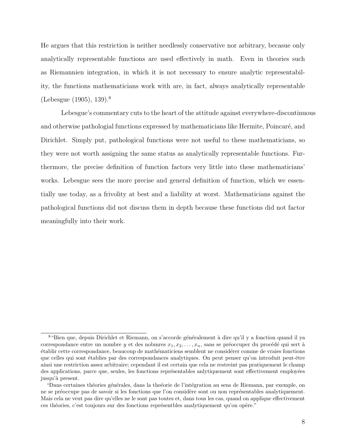He argues that this restriction is neither needlessly conservative nor arbitrary, becasue only analytically representable functions are used effectively in math. Even in theories such as Riemannien integration, in which it is not necessary to ensure analytic representability, the functions mathematicians work with are, in fact, always analytically representable (Lebesgue (1905), 139).<sup>8</sup>

Lebesgue's commentary cuts to the heart of the attitude against everywhere-discontinuous and otherwise pathologial functions expressed by mathematicians like Hermite, Poincaré, and Dirichlet. Simply put, pathological functions were not useful to these mathematicians, so they were not worth assigning the same status as analytically representable functions. Furthermore, the precise definition of function factors very little into these mathematicians' works. Lebesgue sees the more precise and general definition of function, which we essentially use today, as a frivolity at best and a liability at worst. Mathematicians against the pathological functions did not discuss them in depth because these functions did not factor meaningfully into their work.

<sup>&</sup>lt;sup>8</sup>"Bien que, depuis Dirichlet et Riemann, on s'accorde généralement à dire qu'il y a fonction quand il ya correspondance entre un nombre y et des nobmres  $x_1, x_2, \ldots, x_n$ , sans se préoccuper du procédé qui sert à ´etablir cette correspondance, beaucoup de math´ematiciens semblent ne consid´erer comme de vraies fonctions que celles qui sont établies par des correspondances analytiques. On peut penser qu'on introduit peut-être ainsi une restriction assez arbitraire; cependant il est certain que cela ne restreint pas pratiquement le champ des applications, parce que, seules, les fonctions représentables anlytiquement sont effectivement employées jusqu'à present.

<sup>&</sup>quot;Dans certaines théories générales, dans la theéorie de l'intégration au sens de Riemann, par exemple, on ne se préoccupe pas de savoir si les fonctions que l'on considère sont ou non représentables analytiquement. Mais cela ne veut pas dire qu'elles ne le sont pas toutes et, dans tous les cas, quand on applique effectivement ces théories, c'est toujours sur des fonctions représentbles analytiquement qu'on opère."